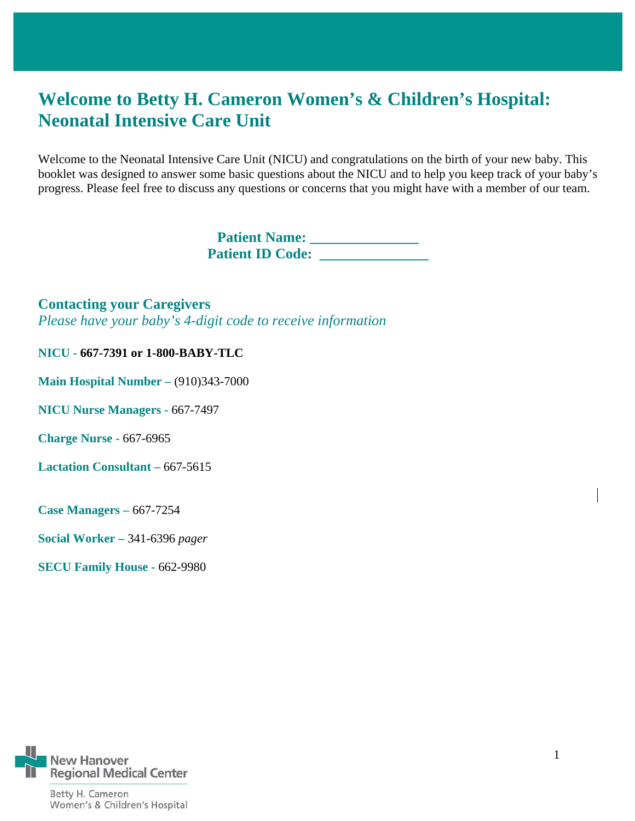# **Welcome to Betty H. Cameron Women's & Children's Hospital: Neonatal Intensive Care Unit**

Welcome to the Neonatal Intensive Care Unit (NICU) and congratulations on the birth of your new baby. This booklet was designed to answer some basic questions about the NICU and to help you keep track of your baby's progress. Please feel free to discuss any questions or concerns that you might have with a member of our team.

| <b>Patient Name:</b>    |  |
|-------------------------|--|
| <b>Patient ID Code:</b> |  |

**Contacting your Caregivers**  *Please have your baby's 4-digit code to receive information* 

**NICU - 667-7391 or 1-800-BABY-TLC** 

**Main Hospital Number – (910)343-7000** 

**NICU Nurse Managers -** 667-7497

**Charge Nurse -** 667-6965

**Lactation Consultant –** 667-5615

**Case Managers –** 667-7254

**Social Worker –** 341-6396 *pager* 

**SECU Family House -** 662-9980

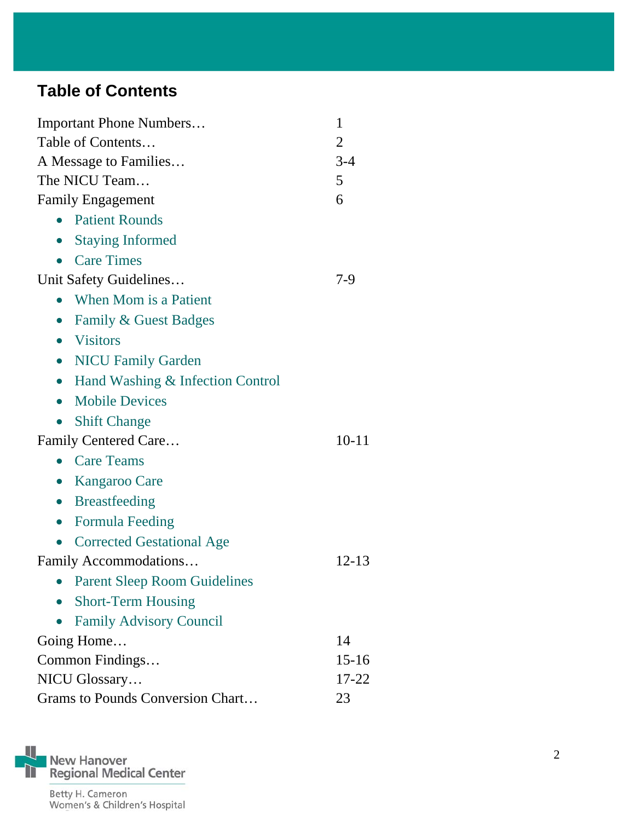# **Table of Contents**

| <b>Important Phone Numbers</b>                | $\mathbf{1}$   |  |  |  |
|-----------------------------------------------|----------------|--|--|--|
| Table of Contents                             | $\overline{2}$ |  |  |  |
| A Message to Families                         | $3 - 4$        |  |  |  |
| The NICU Team                                 | 5              |  |  |  |
| <b>Family Engagement</b>                      | 6              |  |  |  |
| <b>Patient Rounds</b>                         |                |  |  |  |
| <b>Staying Informed</b>                       |                |  |  |  |
| <b>Care Times</b>                             |                |  |  |  |
| Unit Safety Guidelines<br>$7-9$               |                |  |  |  |
| When Mom is a Patient                         |                |  |  |  |
| <b>Family &amp; Guest Badges</b><br>$\bullet$ |                |  |  |  |
| <b>Visitors</b><br>$\bullet$                  |                |  |  |  |
| <b>NICU Family Garden</b><br>$\bullet$        |                |  |  |  |
| Hand Washing & Infection Control<br>$\bullet$ |                |  |  |  |
| <b>Mobile Devices</b><br>$\bullet$            |                |  |  |  |
| <b>Shift Change</b>                           |                |  |  |  |
| $10 - 11$<br>Family Centered Care             |                |  |  |  |
| <b>Care Teams</b><br>$\bullet$                |                |  |  |  |
| <b>Kangaroo Care</b><br>$\bullet$             |                |  |  |  |
| <b>Breastfeeding</b><br>$\bullet$             |                |  |  |  |
| <b>Formula Feeding</b><br>$\bullet$           |                |  |  |  |
| <b>Corrected Gestational Age</b>              |                |  |  |  |
| <b>Family Accommodations</b>                  | $12 - 13$      |  |  |  |
| <b>Parent Sleep Room Guidelines</b>           |                |  |  |  |
| <b>Short-Term Housing</b>                     |                |  |  |  |
| <b>Family Advisory Council</b>                |                |  |  |  |
| Going Home                                    | 14             |  |  |  |
| Common Findings                               | $15 - 16$      |  |  |  |
| NICU Glossary                                 | 17-22          |  |  |  |
| Grams to Pounds Conversion Chart              |                |  |  |  |

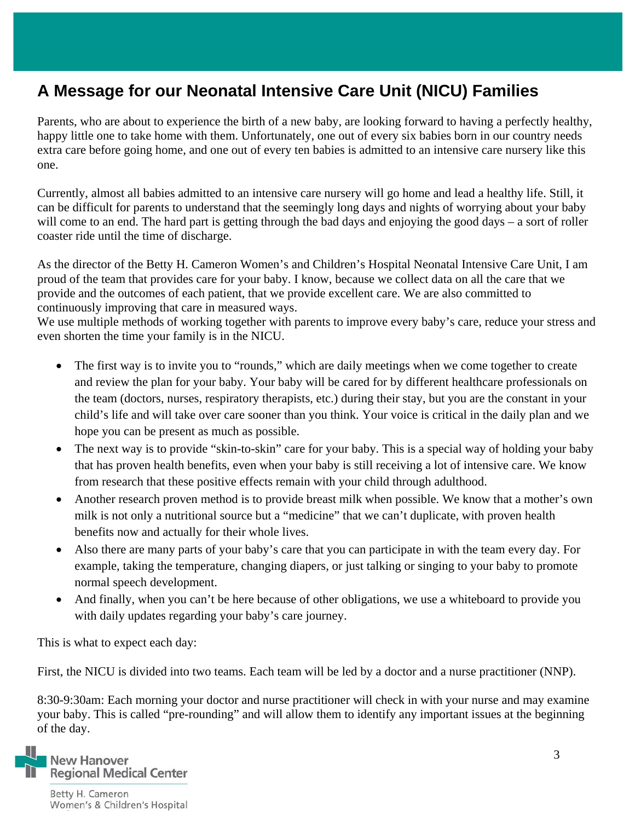# **A Message for our Neonatal Intensive Care Unit (NICU) Families**

Parents, who are about to experience the birth of a new baby, are looking forward to having a perfectly healthy, happy little one to take home with them. Unfortunately, one out of every six babies born in our country needs extra care before going home, and one out of every ten babies is admitted to an intensive care nursery like this one.

Currently, almost all babies admitted to an intensive care nursery will go home and lead a healthy life. Still, it can be difficult for parents to understand that the seemingly long days and nights of worrying about your baby will come to an end. The hard part is getting through the bad days and enjoying the good days – a sort of roller coaster ride until the time of discharge.

As the director of the Betty H. Cameron Women's and Children's Hospital Neonatal Intensive Care Unit, I am proud of the team that provides care for your baby. I know, because we collect data on all the care that we provide and the outcomes of each patient, that we provide excellent care. We are also committed to continuously improving that care in measured ways.

We use multiple methods of working together with parents to improve every baby's care, reduce your stress and even shorten the time your family is in the NICU.

- The first way is to invite you to "rounds," which are daily meetings when we come together to create and review the plan for your baby. Your baby will be cared for by different healthcare professionals on the team (doctors, nurses, respiratory therapists, etc.) during their stay, but you are the constant in your child's life and will take over care sooner than you think. Your voice is critical in the daily plan and we hope you can be present as much as possible.
- The next way is to provide "skin-to-skin" care for your baby. This is a special way of holding your baby that has proven health benefits, even when your baby is still receiving a lot of intensive care. We know from research that these positive effects remain with your child through adulthood.
- Another research proven method is to provide breast milk when possible. We know that a mother's own milk is not only a nutritional source but a "medicine" that we can't duplicate, with proven health benefits now and actually for their whole lives.
- Also there are many parts of your baby's care that you can participate in with the team every day. For example, taking the temperature, changing diapers, or just talking or singing to your baby to promote normal speech development.
- And finally, when you can't be here because of other obligations, we use a whiteboard to provide you with daily updates regarding your baby's care journey.

This is what to expect each day:

First, the NICU is divided into two teams. Each team will be led by a doctor and a nurse practitioner (NNP).

8:30-9:30am: Each morning your doctor and nurse practitioner will check in with your nurse and may examine your baby. This is called "pre-rounding" and will allow them to identify any important issues at the beginning of the day.

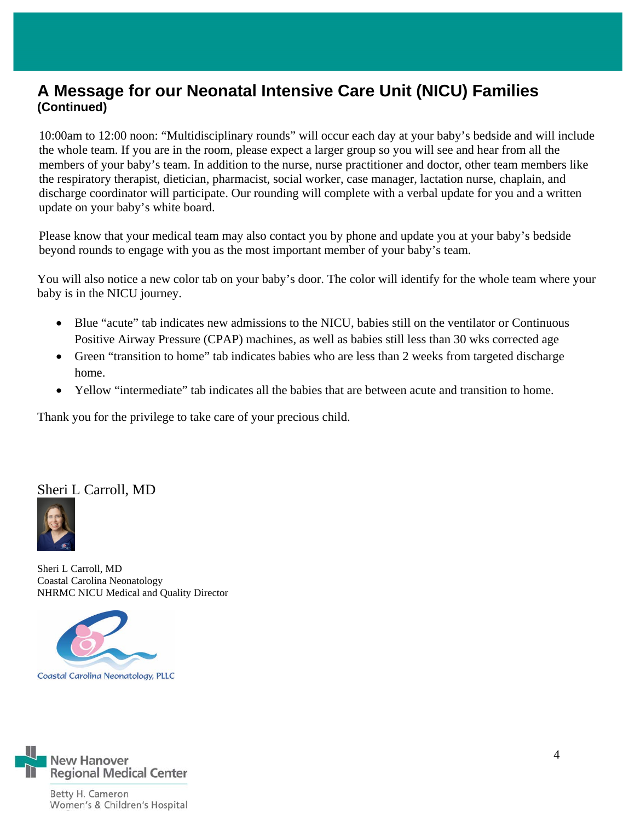## **A Message for our Neonatal Intensive Care Unit (NICU) Families (Continued)**

10:00am to 12:00 noon: "Multidisciplinary rounds" will occur each day at your baby's bedside and will include the whole team. If you are in the room, please expect a larger group so you will see and hear from all the members of your baby's team. In addition to the nurse, nurse practitioner and doctor, other team members like the respiratory therapist, dietician, pharmacist, social worker, case manager, lactation nurse, chaplain, and discharge coordinator will participate. Our rounding will complete with a verbal update for you and a written update on your baby's white board.

Please know that your medical team may also contact you by phone and update you at your baby's bedside beyond rounds to engage with you as the most important member of your baby's team.

You will also notice a new color tab on your baby's door. The color will identify for the whole team where your baby is in the NICU journey.

- Blue "acute" tab indicates new admissions to the NICU, babies still on the ventilator or Continuous Positive Airway Pressure (CPAP) machines, as well as babies still less than 30 wks corrected age
- Green "transition to home" tab indicates babies who are less than 2 weeks from targeted discharge home.
- Yellow "intermediate" tab indicates all the babies that are between acute and transition to home.

Thank you for the privilege to take care of your precious child.

### Sheri L Carroll, MD



Sheri L Carroll, MD Coastal Carolina Neonatology NHRMC NICU Medical and Quality Director



Coastal Carolina Neonatology, PLLC



Betty H. Cameron Women's & Children's Hospital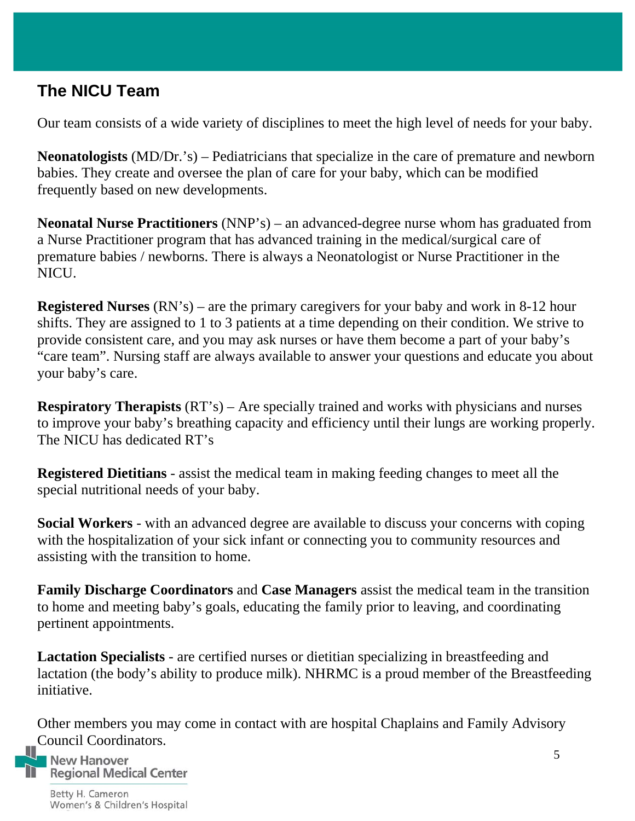# **The NICU Team**

Our team consists of a wide variety of disciplines to meet the high level of needs for your baby.

**Neonatologists** (MD/Dr.'s) – Pediatricians that specialize in the care of premature and newborn babies. They create and oversee the plan of care for your baby, which can be modified frequently based on new developments.

**Neonatal Nurse Practitioners** (NNP's) – an advanced-degree nurse whom has graduated from a Nurse Practitioner program that has advanced training in the medical/surgical care of premature babies / newborns. There is always a Neonatologist or Nurse Practitioner in the NICU.

**Registered Nurses** (RN's) – are the primary caregivers for your baby and work in 8-12 hour shifts. They are assigned to 1 to 3 patients at a time depending on their condition. We strive to provide consistent care, and you may ask nurses or have them become a part of your baby's "care team". Nursing staff are always available to answer your questions and educate you about your baby's care.

**Respiratory Therapists** (RT's) – Are specially trained and works with physicians and nurses to improve your baby's breathing capacity and efficiency until their lungs are working properly. The NICU has dedicated RT's

**Registered Dietitians** - assist the medical team in making feeding changes to meet all the special nutritional needs of your baby.

**Social Workers** - with an advanced degree are available to discuss your concerns with coping with the hospitalization of your sick infant or connecting you to community resources and assisting with the transition to home.

**Family Discharge Coordinators** and **Case Managers** assist the medical team in the transition to home and meeting baby's goals, educating the family prior to leaving, and coordinating pertinent appointments.

**Lactation Specialists** - are certified nurses or dietitian specializing in breastfeeding and lactation (the body's ability to produce milk). NHRMC is a proud member of the Breastfeeding initiative.

Other members you may come in contact with are hospital Chaplains and Family Advisory Council Coordinators.

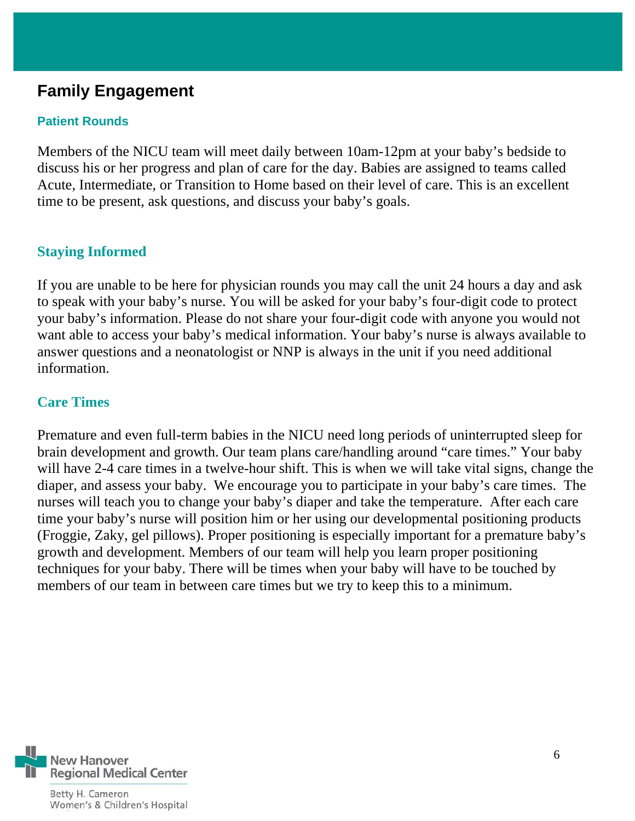## **Family Engagement**

## **Patient Rounds**

Members of the NICU team will meet daily between 10am-12pm at your baby's bedside to discuss his or her progress and plan of care for the day. Babies are assigned to teams called Acute, Intermediate, or Transition to Home based on their level of care. This is an excellent time to be present, ask questions, and discuss your baby's goals.

## **Staying Informed**

If you are unable to be here for physician rounds you may call the unit 24 hours a day and ask to speak with your baby's nurse. You will be asked for your baby's four-digit code to protect your baby's information. Please do not share your four-digit code with anyone you would not want able to access your baby's medical information. Your baby's nurse is always available to answer questions and a neonatologist or NNP is always in the unit if you need additional information.

## **Care Times**

Premature and even full-term babies in the NICU need long periods of uninterrupted sleep for brain development and growth. Our team plans care/handling around "care times." Your baby will have 2-4 care times in a twelve-hour shift. This is when we will take vital signs, change the diaper, and assess your baby. We encourage you to participate in your baby's care times. The nurses will teach you to change your baby's diaper and take the temperature. After each care time your baby's nurse will position him or her using our developmental positioning products (Froggie, Zaky, gel pillows). Proper positioning is especially important for a premature baby's growth and development. Members of our team will help you learn proper positioning techniques for your baby. There will be times when your baby will have to be touched by members of our team in between care times but we try to keep this to a minimum.



Betty H. Cameron Women's & Children's Hospital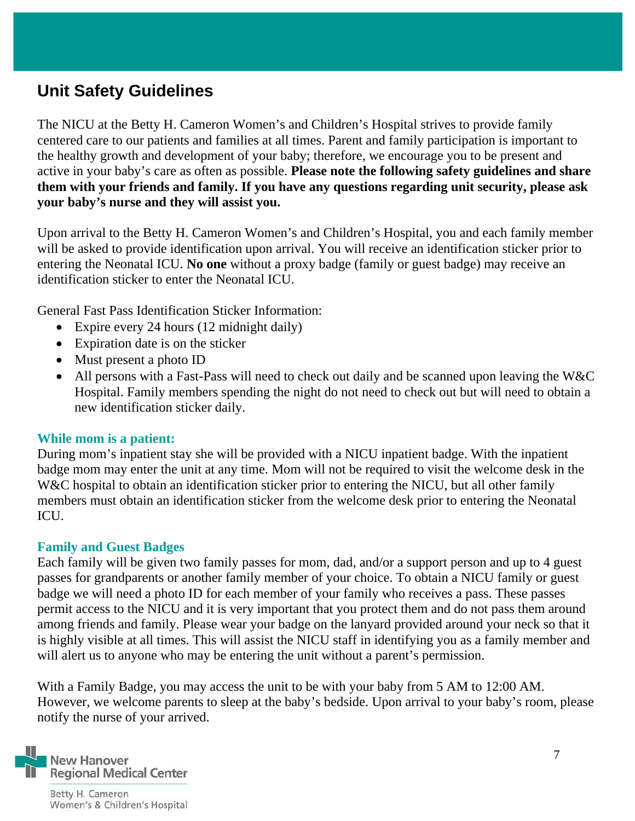# **Unit Safety Guidelines**

The NICU at the Betty H. Cameron Women's and Children's Hospital strives to provide family centered care to our patients and families at all times. Parent and family participation is important to the healthy growth and development of your baby; therefore, we encourage you to be present and active in your baby's care as often as possible. **Please note the following safety guidelines and share them with your friends and family. If you have any questions regarding unit security, please ask your baby's nurse and they will assist you.** 

Upon arrival to the Betty H. Cameron Women's and Children's Hospital, you and each family member will be asked to provide identification upon arrival. You will receive an identification sticker prior to entering the Neonatal ICU. **No one** without a proxy badge (family or guest badge) may receive an identification sticker to enter the Neonatal ICU.

General Fast Pass Identification Sticker Information:

- Expire every 24 hours (12 midnight daily)
- Expiration date is on the sticker
- Must present a photo ID
- All persons with a Fast-Pass will need to check out daily and be scanned upon leaving the W&C Hospital. Family members spending the night do not need to check out but will need to obtain a new identification sticker daily.

#### **While mom is a patient:**

During mom's inpatient stay she will be provided with a NICU inpatient badge. With the inpatient badge mom may enter the unit at any time. Mom will not be required to visit the welcome desk in the W&C hospital to obtain an identification sticker prior to entering the NICU, but all other family members must obtain an identification sticker from the welcome desk prior to entering the Neonatal ICU.

#### **Family and Guest Badges**

Each family will be given two family passes for mom, dad, and/or a support person and up to 4 guest passes for grandparents or another family member of your choice. To obtain a NICU family or guest badge we will need a photo ID for each member of your family who receives a pass. These passes permit access to the NICU and it is very important that you protect them and do not pass them around among friends and family. Please wear your badge on the lanyard provided around your neck so that it is highly visible at all times. This will assist the NICU staff in identifying you as a family member and will alert us to anyone who may be entering the unit without a parent's permission.

With a Family Badge, you may access the unit to be with your baby from 5 AM to 12:00 AM. However, we welcome parents to sleep at the baby's bedside. Upon arrival to your baby's room, please notify the nurse of your arrived.



Betty H. Cameron Women's & Children's Hospital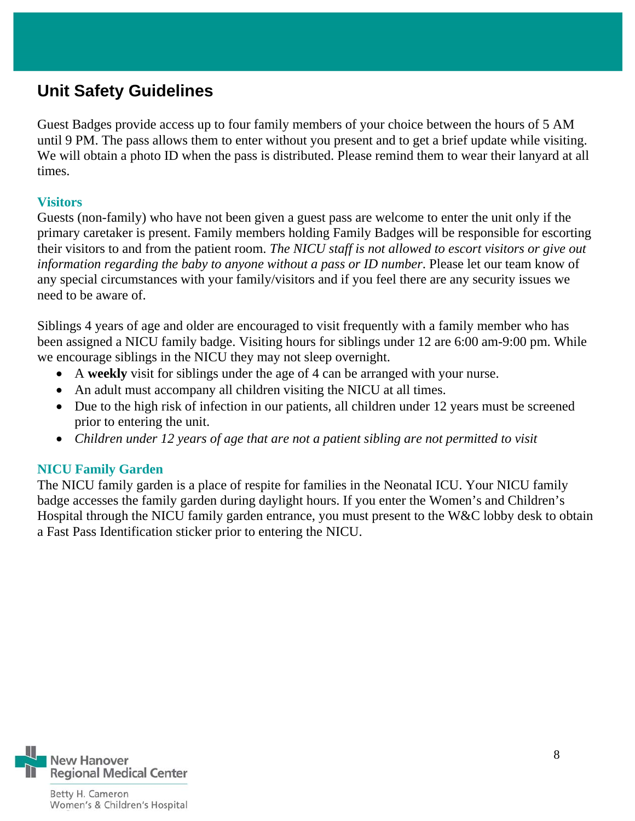# **Unit Safety Guidelines**

Guest Badges provide access up to four family members of your choice between the hours of 5 AM until 9 PM. The pass allows them to enter without you present and to get a brief update while visiting. We will obtain a photo ID when the pass is distributed. Please remind them to wear their lanyard at all times.

### **Visitors**

Guests (non-family) who have not been given a guest pass are welcome to enter the unit only if the primary caretaker is present. Family members holding Family Badges will be responsible for escorting their visitors to and from the patient room. *The NICU staff is not allowed to escort visitors or give out information regarding the baby to anyone without a pass or ID number*. Please let our team know of any special circumstances with your family/visitors and if you feel there are any security issues we need to be aware of.

Siblings 4 years of age and older are encouraged to visit frequently with a family member who has been assigned a NICU family badge. Visiting hours for siblings under 12 are 6:00 am-9:00 pm. While we encourage siblings in the NICU they may not sleep overnight.

- A **weekly** visit for siblings under the age of 4 can be arranged with your nurse.
- An adult must accompany all children visiting the NICU at all times.
- Due to the high risk of infection in our patients, all children under 12 years must be screened prior to entering the unit.
- *Children under 12 years of age that are not a patient sibling are not permitted to visit*

## **NICU Family Garden**

The NICU family garden is a place of respite for families in the Neonatal ICU. Your NICU family badge accesses the family garden during daylight hours. If you enter the Women's and Children's Hospital through the NICU family garden entrance, you must present to the W&C lobby desk to obtain a Fast Pass Identification sticker prior to entering the NICU.

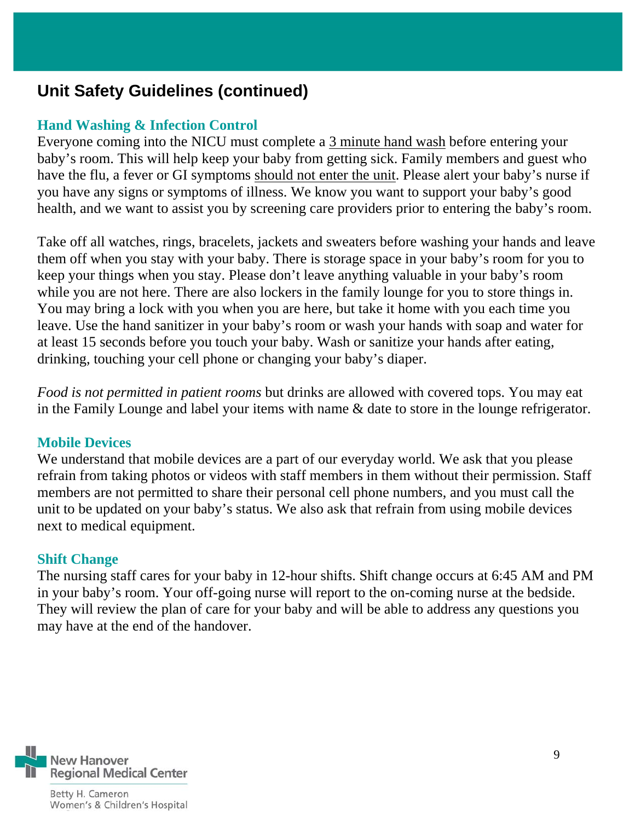# **Unit Safety Guidelines (continued)**

## **Hand Washing & Infection Control**

Everyone coming into the NICU must complete a 3 minute hand wash before entering your baby's room. This will help keep your baby from getting sick. Family members and guest who have the flu, a fever or GI symptoms should not enter the unit. Please alert your baby's nurse if you have any signs or symptoms of illness. We know you want to support your baby's good health, and we want to assist you by screening care providers prior to entering the baby's room.

Take off all watches, rings, bracelets, jackets and sweaters before washing your hands and leave them off when you stay with your baby. There is storage space in your baby's room for you to keep your things when you stay. Please don't leave anything valuable in your baby's room while you are not here. There are also lockers in the family lounge for you to store things in. You may bring a lock with you when you are here, but take it home with you each time you leave. Use the hand sanitizer in your baby's room or wash your hands with soap and water for at least 15 seconds before you touch your baby. Wash or sanitize your hands after eating, drinking, touching your cell phone or changing your baby's diaper.

*Food is not permitted in patient rooms* but drinks are allowed with covered tops. You may eat in the Family Lounge and label your items with name & date to store in the lounge refrigerator.

## **Mobile Devices**

We understand that mobile devices are a part of our everyday world. We ask that you please refrain from taking photos or videos with staff members in them without their permission. Staff members are not permitted to share their personal cell phone numbers, and you must call the unit to be updated on your baby's status. We also ask that refrain from using mobile devices next to medical equipment.

## **Shift Change**

The nursing staff cares for your baby in 12-hour shifts. Shift change occurs at 6:45 AM and PM in your baby's room. Your off-going nurse will report to the on-coming nurse at the bedside. They will review the plan of care for your baby and will be able to address any questions you may have at the end of the handover.

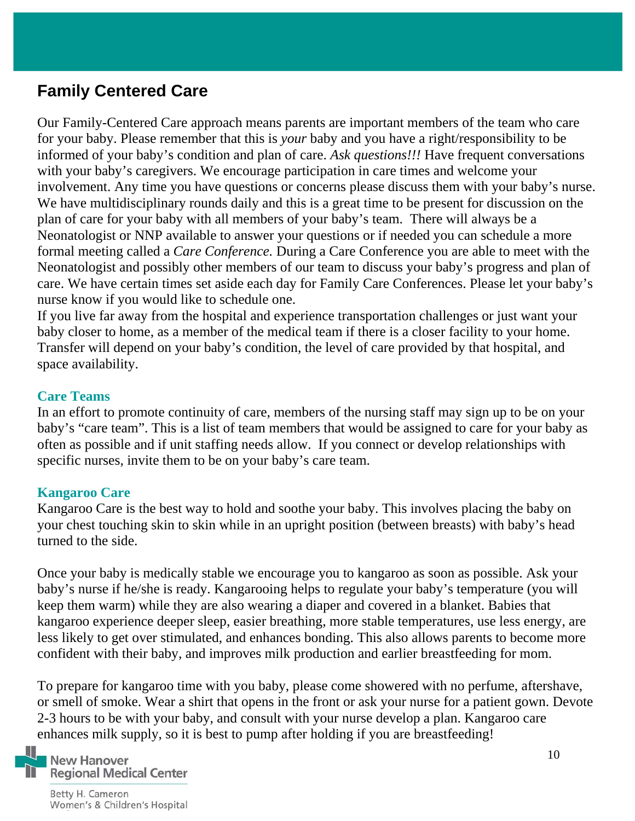## **Family Centered Care**

Our Family-Centered Care approach means parents are important members of the team who care for your baby. Please remember that this is *your* baby and you have a right/responsibility to be informed of your baby's condition and plan of care. *Ask questions!!!* Have frequent conversations with your baby's caregivers. We encourage participation in care times and welcome your involvement. Any time you have questions or concerns please discuss them with your baby's nurse. We have multidisciplinary rounds daily and this is a great time to be present for discussion on the plan of care for your baby with all members of your baby's team. There will always be a Neonatologist or NNP available to answer your questions or if needed you can schedule a more formal meeting called a *Care Conference.* During a Care Conference you are able to meet with the Neonatologist and possibly other members of our team to discuss your baby's progress and plan of care. We have certain times set aside each day for Family Care Conferences. Please let your baby's nurse know if you would like to schedule one.

If you live far away from the hospital and experience transportation challenges or just want your baby closer to home, as a member of the medical team if there is a closer facility to your home. Transfer will depend on your baby's condition, the level of care provided by that hospital, and space availability.

### **Care Teams**

In an effort to promote continuity of care, members of the nursing staff may sign up to be on your baby's "care team". This is a list of team members that would be assigned to care for your baby as often as possible and if unit staffing needs allow. If you connect or develop relationships with specific nurses, invite them to be on your baby's care team.

## **Kangaroo Care**

Kangaroo Care is the best way to hold and soothe your baby. This involves placing the baby on your chest touching skin to skin while in an upright position (between breasts) with baby's head turned to the side.

Once your baby is medically stable we encourage you to kangaroo as soon as possible. Ask your baby's nurse if he/she is ready. Kangarooing helps to regulate your baby's temperature (you will keep them warm) while they are also wearing a diaper and covered in a blanket. Babies that kangaroo experience deeper sleep, easier breathing, more stable temperatures, use less energy, are less likely to get over stimulated, and enhances bonding. This also allows parents to become more confident with their baby, and improves milk production and earlier breastfeeding for mom.

To prepare for kangaroo time with you baby, please come showered with no perfume, aftershave, or smell of smoke. Wear a shirt that opens in the front or ask your nurse for a patient gown. Devote 2-3 hours to be with your baby, and consult with your nurse develop a plan. Kangaroo care enhances milk supply, so it is best to pump after holding if you are breastfeeding!

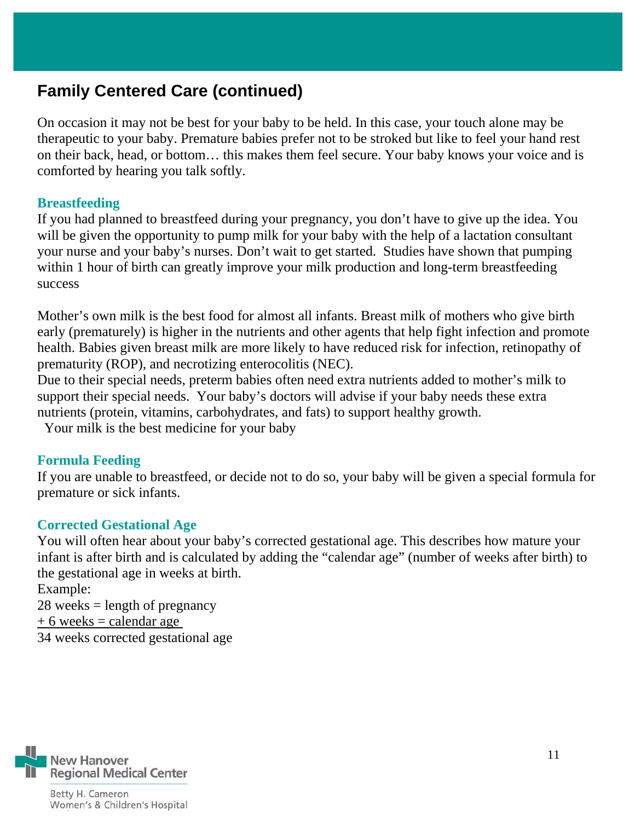## **Family Centered Care (continued)**

On occasion it may not be best for your baby to be held. In this case, your touch alone may be therapeutic to your baby. Premature babies prefer not to be stroked but like to feel your hand rest on their back, head, or bottom… this makes them feel secure. Your baby knows your voice and is comforted by hearing you talk softly.

### **Breastfeeding**

If you had planned to breastfeed during your pregnancy, you don't have to give up the idea. You will be given the opportunity to pump milk for your baby with the help of a lactation consultant your nurse and your baby's nurses. Don't wait to get started. Studies have shown that pumping within 1 hour of birth can greatly improve your milk production and long-term breastfeeding success

Mother's own milk is the best food for almost all infants. Breast milk of mothers who give birth early (prematurely) is higher in the nutrients and other agents that help fight infection and promote health. Babies given breast milk are more likely to have reduced risk for infection, retinopathy of prematurity (ROP), and necrotizing enterocolitis (NEC).

Due to their special needs, preterm babies often need extra nutrients added to mother's milk to support their special needs. Your baby's doctors will advise if your baby needs these extra nutrients (protein, vitamins, carbohydrates, and fats) to support healthy growth.

Your milk is the best medicine for your baby

## **Formula Feeding**

If you are unable to breastfeed, or decide not to do so, your baby will be given a special formula for premature or sick infants.

## **Corrected Gestational Age**

You will often hear about your baby's corrected gestational age. This describes how mature your infant is after birth and is calculated by adding the "calendar age" (number of weeks after birth) to the gestational age in weeks at birth.

Example:

 $28$  weeks = length of pregnancy

 $+ 6$  weeks = calendar age

34 weeks corrected gestational age

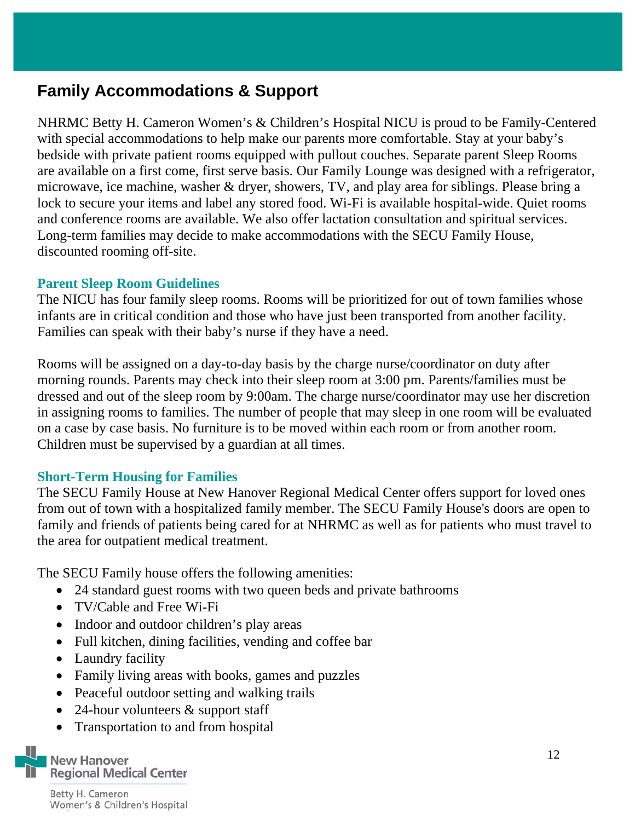## **Family Accommodations & Support**

NHRMC Betty H. Cameron Women's & Children's Hospital NICU is proud to be Family-Centered with special accommodations to help make our parents more comfortable. Stay at your baby's bedside with private patient rooms equipped with pullout couches. Separate parent Sleep Rooms are available on a first come, first serve basis. Our Family Lounge was designed with a refrigerator, microwave, ice machine, washer & dryer, showers, TV, and play area for siblings. Please bring a lock to secure your items and label any stored food. Wi-Fi is available hospital-wide. Quiet rooms and conference rooms are available. We also offer lactation consultation and spiritual services. Long-term families may decide to make accommodations with the SECU Family House, discounted rooming off-site.

## **Parent Sleep Room Guidelines**

The NICU has four family sleep rooms. Rooms will be prioritized for out of town families whose infants are in critical condition and those who have just been transported from another facility. Families can speak with their baby's nurse if they have a need.

Rooms will be assigned on a day-to-day basis by the charge nurse/coordinator on duty after morning rounds. Parents may check into their sleep room at 3:00 pm. Parents/families must be dressed and out of the sleep room by 9:00am. The charge nurse/coordinator may use her discretion in assigning rooms to families. The number of people that may sleep in one room will be evaluated on a case by case basis. No furniture is to be moved within each room or from another room. Children must be supervised by a guardian at all times.

## **Short-Term Housing for Families**

The SECU Family House at New Hanover Regional Medical Center offers support for loved ones from out of town with a hospitalized family member. The SECU Family House's doors are open to family and friends of patients being cared for at NHRMC as well as for patients who must travel to the area for outpatient medical treatment.

The SECU Family house offers the following amenities:

- 24 standard guest rooms with two queen beds and private bathrooms
- TV/Cable and Free Wi-Fi
- Indoor and outdoor children's play areas
- Full kitchen, dining facilities, vending and coffee bar
- Laundry facility
- Family living areas with books, games and puzzles
- Peaceful outdoor setting and walking trails
- 24-hour volunteers & support staff
- Transportation to and from hospital

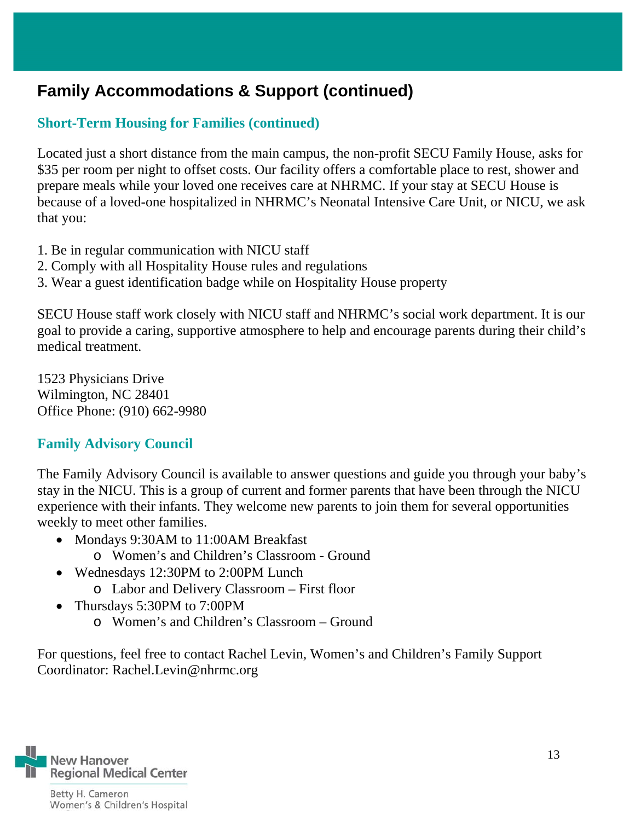# **Family Accommodations & Support (continued)**

## **Short-Term Housing for Families (continued)**

Located just a short distance from the main campus, the non-profit SECU Family House, asks for \$35 per room per night to offset costs. Our facility offers a comfortable place to rest, shower and prepare meals while your loved one receives care at NHRMC. If your stay at SECU House is because of a loved-one hospitalized in NHRMC's Neonatal Intensive Care Unit, or NICU, we ask that you:

- 1. Be in regular communication with NICU staff
- 2. Comply with all Hospitality House rules and regulations
- 3. Wear a guest identification badge while on Hospitality House property

SECU House staff work closely with NICU staff and NHRMC's social work department. It is our goal to provide a caring, supportive atmosphere to help and encourage parents during their child's medical treatment.

1523 Physicians Drive Wilmington, NC 28401 Office Phone: (910) 662-9980

## **Family Advisory Council**

The Family Advisory Council is available to answer questions and guide you through your baby's stay in the NICU. This is a group of current and former parents that have been through the NICU experience with their infants. They welcome new parents to join them for several opportunities weekly to meet other families.

- Mondays 9:30AM to 11:00AM Breakfast
	- o Women's and Children's Classroom Ground
- Wednesdays 12:30PM to 2:00PM Lunch
	- o Labor and Delivery Classroom First floor
- Thursdays 5:30PM to 7:00PM
	- o Women's and Children's Classroom Ground

For questions, feel free to contact Rachel Levin, Women's and Children's Family Support Coordinator: Rachel.Levin@nhrmc.org

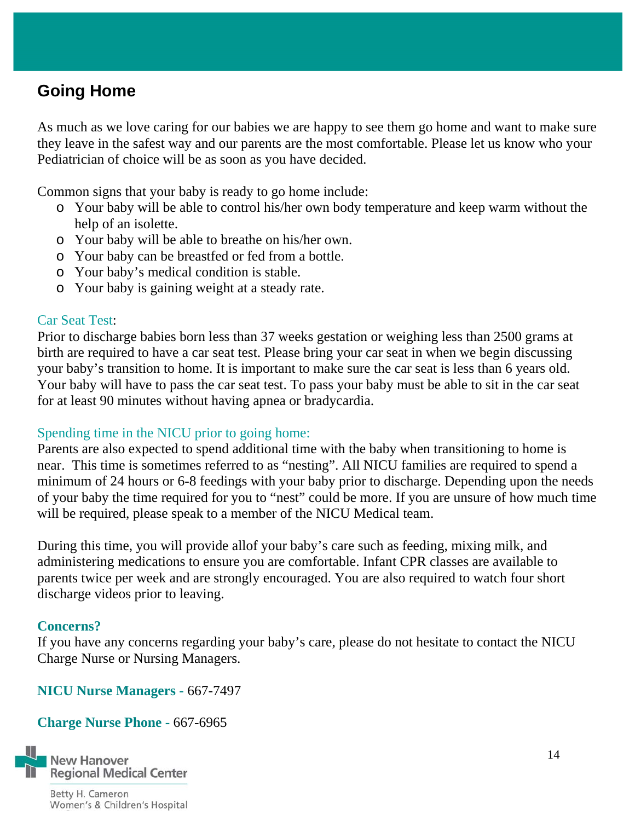## **Going Home**

As much as we love caring for our babies we are happy to see them go home and want to make sure they leave in the safest way and our parents are the most comfortable. Please let us know who your Pediatrician of choice will be as soon as you have decided.

Common signs that your baby is ready to go home include:

- o Your baby will be able to control his/her own body temperature and keep warm without the help of an isolette.
- o Your baby will be able to breathe on his/her own.
- o Your baby can be breastfed or fed from a bottle.
- o Your baby's medical condition is stable.
- o Your baby is gaining weight at a steady rate.

## Car Seat Test:

Prior to discharge babies born less than 37 weeks gestation or weighing less than 2500 grams at birth are required to have a car seat test. Please bring your car seat in when we begin discussing your baby's transition to home. It is important to make sure the car seat is less than 6 years old. Your baby will have to pass the car seat test. To pass your baby must be able to sit in the car seat for at least 90 minutes without having apnea or bradycardia.

## Spending time in the NICU prior to going home:

Parents are also expected to spend additional time with the baby when transitioning to home is near. This time is sometimes referred to as "nesting". All NICU families are required to spend a minimum of 24 hours or 6-8 feedings with your baby prior to discharge. Depending upon the needs of your baby the time required for you to "nest" could be more. If you are unsure of how much time will be required, please speak to a member of the NICU Medical team.

During this time, you will provide allof your baby's care such as feeding, mixing milk, and administering medications to ensure you are comfortable. Infant CPR classes are available to parents twice per week and are strongly encouraged. You are also required to watch four short discharge videos prior to leaving.

## **Concerns?**

If you have any concerns regarding your baby's care, please do not hesitate to contact the NICU Charge Nurse or Nursing Managers.

## **NICU Nurse Managers -** 667-7497

**Charge Nurse Phone -** 667-6965

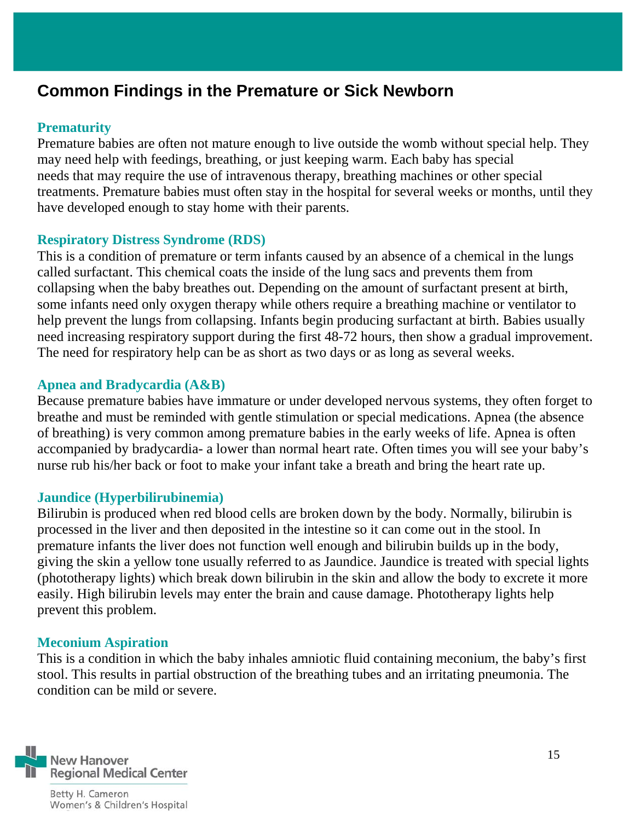## **Common Findings in the Premature or Sick Newborn**

### **Prematurity**

Premature babies are often not mature enough to live outside the womb without special help. They may need help with feedings, breathing, or just keeping warm. Each baby has special needs that may require the use of intravenous therapy, breathing machines or other special treatments. Premature babies must often stay in the hospital for several weeks or months, until they have developed enough to stay home with their parents.

### **Respiratory Distress Syndrome (RDS)**

This is a condition of premature or term infants caused by an absence of a chemical in the lungs called surfactant. This chemical coats the inside of the lung sacs and prevents them from collapsing when the baby breathes out. Depending on the amount of surfactant present at birth, some infants need only oxygen therapy while others require a breathing machine or ventilator to help prevent the lungs from collapsing. Infants begin producing surfactant at birth. Babies usually need increasing respiratory support during the first 48-72 hours, then show a gradual improvement. The need for respiratory help can be as short as two days or as long as several weeks.

### **Apnea and Bradycardia (A&B)**

Because premature babies have immature or under developed nervous systems, they often forget to breathe and must be reminded with gentle stimulation or special medications. Apnea (the absence of breathing) is very common among premature babies in the early weeks of life. Apnea is often accompanied by bradycardia- a lower than normal heart rate. Often times you will see your baby's nurse rub his/her back or foot to make your infant take a breath and bring the heart rate up.

### **Jaundice (Hyperbilirubinemia)**

Bilirubin is produced when red blood cells are broken down by the body. Normally, bilirubin is processed in the liver and then deposited in the intestine so it can come out in the stool. In premature infants the liver does not function well enough and bilirubin builds up in the body, giving the skin a yellow tone usually referred to as Jaundice. Jaundice is treated with special lights (phototherapy lights) which break down bilirubin in the skin and allow the body to excrete it more easily. High bilirubin levels may enter the brain and cause damage. Phototherapy lights help prevent this problem.

### **Meconium Aspiration**

This is a condition in which the baby inhales amniotic fluid containing meconium, the baby's first stool. This results in partial obstruction of the breathing tubes and an irritating pneumonia. The condition can be mild or severe.

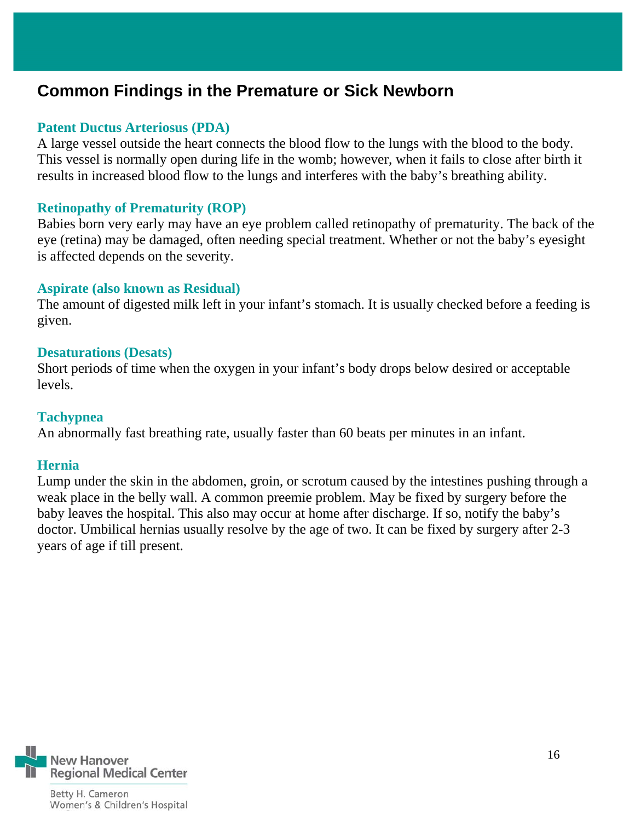## **Common Findings in the Premature or Sick Newborn**

### **Patent Ductus Arteriosus (PDA)**

A large vessel outside the heart connects the blood flow to the lungs with the blood to the body. This vessel is normally open during life in the womb; however, when it fails to close after birth it results in increased blood flow to the lungs and interferes with the baby's breathing ability.

### **Retinopathy of Prematurity (ROP)**

Babies born very early may have an eye problem called retinopathy of prematurity. The back of the eye (retina) may be damaged, often needing special treatment. Whether or not the baby's eyesight is affected depends on the severity.

### **Aspirate (also known as Residual)**

The amount of digested milk left in your infant's stomach. It is usually checked before a feeding is given.

### **Desaturations (Desats)**

Short periods of time when the oxygen in your infant's body drops below desired or acceptable levels.

## **Tachypnea**

An abnormally fast breathing rate, usually faster than 60 beats per minutes in an infant.

### **Hernia**

Lump under the skin in the abdomen, groin, or scrotum caused by the intestines pushing through a weak place in the belly wall. A common preemie problem. May be fixed by surgery before the baby leaves the hospital. This also may occur at home after discharge. If so, notify the baby's doctor. Umbilical hernias usually resolve by the age of two. It can be fixed by surgery after 2-3 years of age if till present.

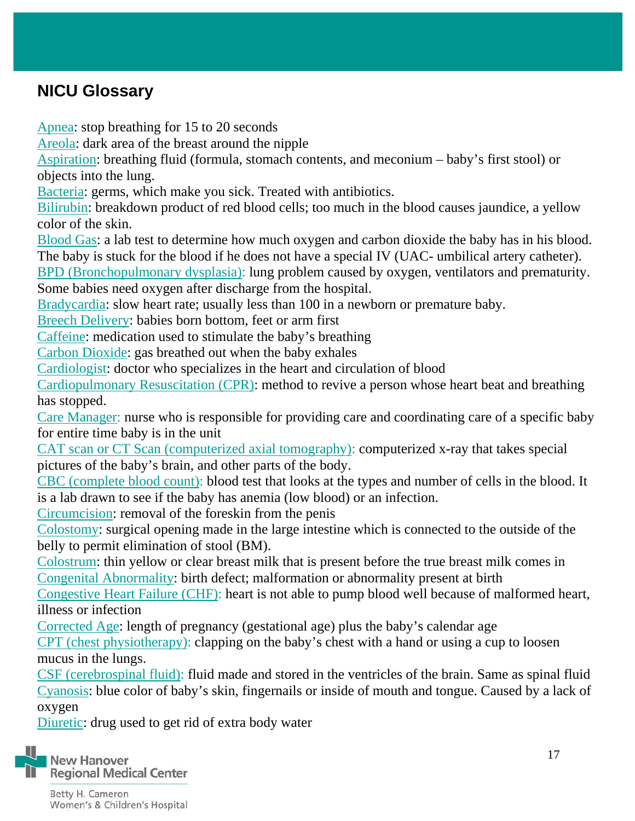## **NICU Glossary**

Apnea: stop breathing for 15 to 20 seconds

Areola: dark area of the breast around the nipple

Aspiration: breathing fluid (formula, stomach contents, and meconium – baby's first stool) or objects into the lung.

Bacteria: germs, which make you sick. Treated with antibiotics.

Bilirubin: breakdown product of red blood cells; too much in the blood causes jaundice, a yellow color of the skin.

Blood Gas: a lab test to determine how much oxygen and carbon dioxide the baby has in his blood. The baby is stuck for the blood if he does not have a special IV (UAC- umbilical artery catheter).

BPD (Bronchopulmonary dysplasia): lung problem caused by oxygen, ventilators and prematurity. Some babies need oxygen after discharge from the hospital.

Bradycardia: slow heart rate; usually less than 100 in a newborn or premature baby.

Breech Delivery: babies born bottom, feet or arm first

Caffeine: medication used to stimulate the baby's breathing

Carbon Dioxide: gas breathed out when the baby exhales

Cardiologist: doctor who specializes in the heart and circulation of blood

Cardiopulmonary Resuscitation (CPR): method to revive a person whose heart beat and breathing has stopped.

Care Manager: nurse who is responsible for providing care and coordinating care of a specific baby for entire time baby is in the unit

CAT scan or CT Scan (computerized axial tomography): computerized x-ray that takes special pictures of the baby's brain, and other parts of the body.

CBC (complete blood count): blood test that looks at the types and number of cells in the blood. It is a lab drawn to see if the baby has anemia (low blood) or an infection.

Circumcision: removal of the foreskin from the penis

Colostomy: surgical opening made in the large intestine which is connected to the outside of the belly to permit elimination of stool (BM).

Colostrum: thin yellow or clear breast milk that is present before the true breast milk comes in Congenital Abnormality: birth defect; malformation or abnormality present at birth

Congestive Heart Failure (CHF): heart is not able to pump blood well because of malformed heart, illness or infection

Corrected Age: length of pregnancy (gestational age) plus the baby's calendar age

CPT (chest physiotherapy): clapping on the baby's chest with a hand or using a cup to loosen mucus in the lungs.

CSF (cerebrospinal fluid): fluid made and stored in the ventricles of the brain. Same as spinal fluid Cyanosis: blue color of baby's skin, fingernails or inside of mouth and tongue. Caused by a lack of oxygen

Diuretic: drug used to get rid of extra body water

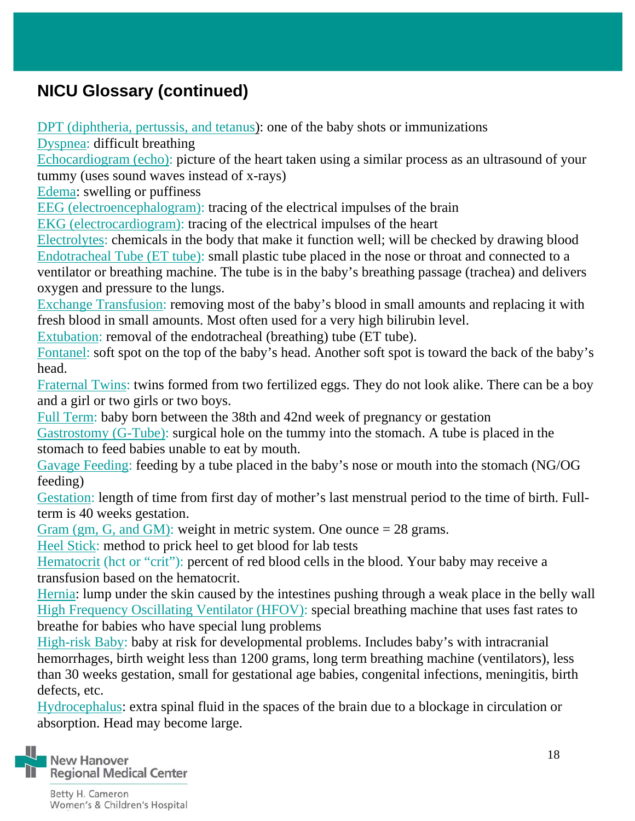DPT (diphtheria, pertussis, and tetanus): one of the baby shots or immunizations

Dyspnea: difficult breathing

Echocardiogram (echo): picture of the heart taken using a similar process as an ultrasound of your tummy (uses sound waves instead of x-rays)

Edema: swelling or puffiness

EEG (electroencephalogram): tracing of the electrical impulses of the brain

EKG (electrocardiogram): tracing of the electrical impulses of the heart

Electrolytes: chemicals in the body that make it function well; will be checked by drawing blood Endotracheal Tube (ET tube): small plastic tube placed in the nose or throat and connected to a ventilator or breathing machine. The tube is in the baby's breathing passage (trachea) and delivers oxygen and pressure to the lungs.

Exchange Transfusion: removing most of the baby's blood in small amounts and replacing it with fresh blood in small amounts. Most often used for a very high bilirubin level.

Extubation: removal of the endotracheal (breathing) tube (ET tube).

Fontanel: soft spot on the top of the baby's head. Another soft spot is toward the back of the baby's head.

Fraternal Twins: twins formed from two fertilized eggs. They do not look alike. There can be a boy and a girl or two girls or two boys.

Full Term: baby born between the 38th and 42nd week of pregnancy or gestation

Gastrostomy (G-Tube): surgical hole on the tummy into the stomach. A tube is placed in the stomach to feed babies unable to eat by mouth.

Gavage Feeding: feeding by a tube placed in the baby's nose or mouth into the stomach (NG/OG feeding)

Gestation: length of time from first day of mother's last menstrual period to the time of birth. Fullterm is 40 weeks gestation.

Gram (gm, G, and GM): weight in metric system. One ounce  $= 28$  grams.

Heel Stick: method to prick heel to get blood for lab tests

Hematocrit (hct or "crit"): percent of red blood cells in the blood. Your baby may receive a transfusion based on the hematocrit.

Hernia: lump under the skin caused by the intestines pushing through a weak place in the belly wall High Frequency Oscillating Ventilator (HFOV): special breathing machine that uses fast rates to breathe for babies who have special lung problems

High-risk Baby: baby at risk for developmental problems. Includes baby's with intracranial hemorrhages, birth weight less than 1200 grams, long term breathing machine (ventilators), less than 30 weeks gestation, small for gestational age babies, congenital infections, meningitis, birth defects, etc.

Hydrocephalus: extra spinal fluid in the spaces of the brain due to a blockage in circulation or absorption. Head may become large.

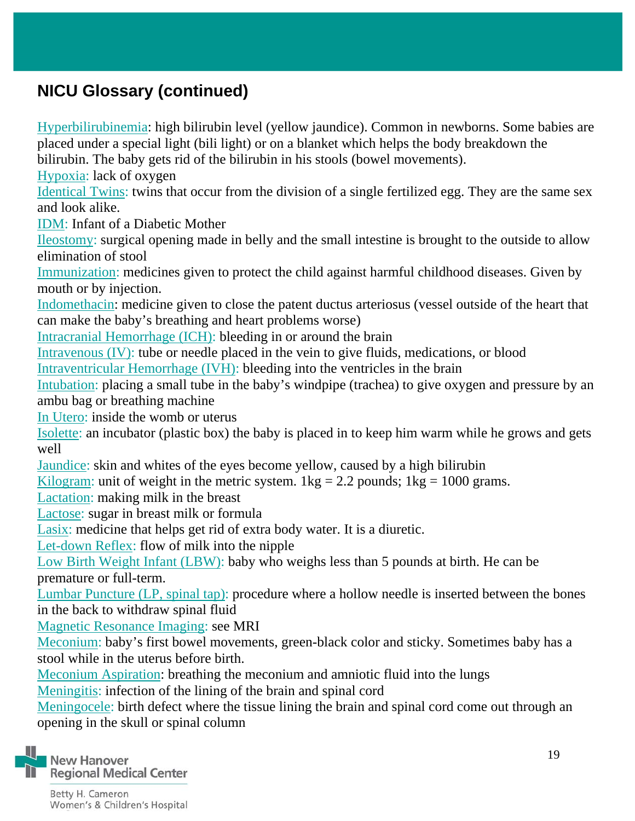Hyperbilirubinemia: high bilirubin level (yellow jaundice). Common in newborns. Some babies are placed under a special light (bili light) or on a blanket which helps the body breakdown the bilirubin. The baby gets rid of the bilirubin in his stools (bowel movements). Hypoxia: lack of oxygen Identical Twins: twins that occur from the division of a single fertilized egg. They are the same sex and look alike. IDM: Infant of a Diabetic Mother Ileostomy: surgical opening made in belly and the small intestine is brought to the outside to allow elimination of stool Immunization: medicines given to protect the child against harmful childhood diseases. Given by mouth or by injection. Indomethacin: medicine given to close the patent ductus arteriosus (vessel outside of the heart that can make the baby's breathing and heart problems worse) Intracranial Hemorrhage (ICH): bleeding in or around the brain Intravenous (IV): tube or needle placed in the vein to give fluids, medications, or blood Intraventricular Hemorrhage (IVH): bleeding into the ventricles in the brain Intubation: placing a small tube in the baby's windpipe (trachea) to give oxygen and pressure by an ambu bag or breathing machine In Utero: inside the womb or uterus Isolette: an incubator (plastic box) the baby is placed in to keep him warm while he grows and gets well Jaundice: skin and whites of the eyes become yellow, caused by a high bilirubin Kilogram: unit of weight in the metric system.  $1 \text{kg} = 2.2$  pounds;  $1 \text{kg} = 1000$  grams. Lactation: making milk in the breast Lactose: sugar in breast milk or formula Lasix: medicine that helps get rid of extra body water. It is a diuretic. Let-down Reflex: flow of milk into the nipple Low Birth Weight Infant (LBW): baby who weighs less than 5 pounds at birth. He can be premature or full-term. Lumbar Puncture (LP, spinal tap): procedure where a hollow needle is inserted between the bones in the back to withdraw spinal fluid Magnetic Resonance Imaging: see MRI Meconium: baby's first bowel movements, green-black color and sticky. Sometimes baby has a stool while in the uterus before birth. Meconium Aspiration: breathing the meconium and amniotic fluid into the lungs

Meningitis: infection of the lining of the brain and spinal cord

Meningocele: birth defect where the tissue lining the brain and spinal cord come out through an opening in the skull or spinal column

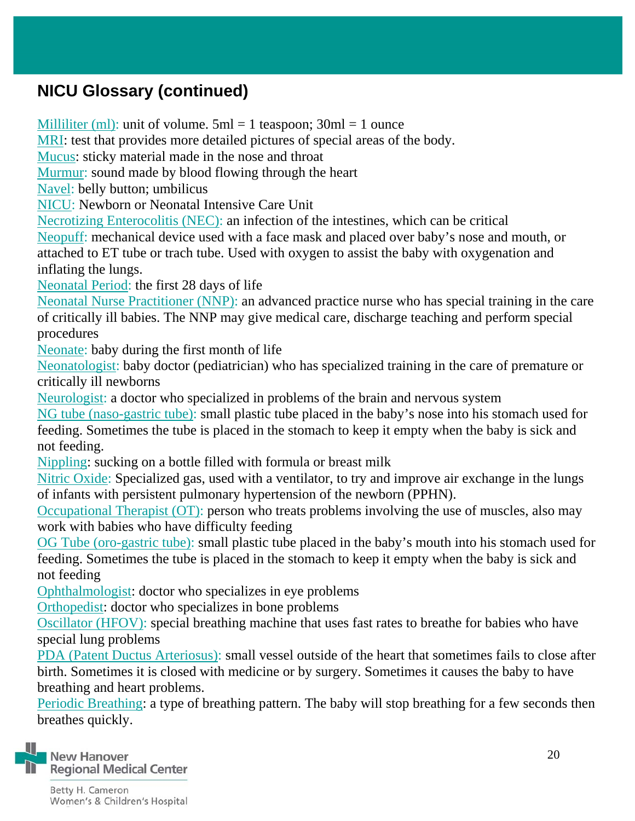Milliliter (ml): unit of volume.  $5ml = 1$  teaspoon;  $30ml = 1$  ounce MRI: test that provides more detailed pictures of special areas of the body. Mucus: sticky material made in the nose and throat Murmur: sound made by blood flowing through the heart Navel: belly button; umbilicus NICU: Newborn or Neonatal Intensive Care Unit Necrotizing Enterocolitis (NEC): an infection of the intestines, which can be critical Neopuff: mechanical device used with a face mask and placed over baby's nose and mouth, or attached to ET tube or trach tube. Used with oxygen to assist the baby with oxygenation and inflating the lungs. Neonatal Period: the first 28 days of life Neonatal Nurse Practitioner (NNP): an advanced practice nurse who has special training in the care of critically ill babies. The NNP may give medical care, discharge teaching and perform special procedures Neonate: baby during the first month of life Neonatologist: baby doctor (pediatrician) who has specialized training in the care of premature or critically ill newborns Neurologist: a doctor who specialized in problems of the brain and nervous system NG tube (naso-gastric tube): small plastic tube placed in the baby's nose into his stomach used for feeding. Sometimes the tube is placed in the stomach to keep it empty when the baby is sick and not feeding. Nippling: sucking on a bottle filled with formula or breast milk Nitric Oxide: Specialized gas, used with a ventilator, to try and improve air exchange in the lungs of infants with persistent pulmonary hypertension of the newborn (PPHN). Occupational Therapist (OT): person who treats problems involving the use of muscles, also may work with babies who have difficulty feeding OG Tube (oro-gastric tube): small plastic tube placed in the baby's mouth into his stomach used for feeding. Sometimes the tube is placed in the stomach to keep it empty when the baby is sick and not feeding Ophthalmologist: doctor who specializes in eye problems Orthopedist: doctor who specializes in bone problems

Oscillator (HFOV): special breathing machine that uses fast rates to breathe for babies who have special lung problems

PDA (Patent Ductus Arteriosus): small vessel outside of the heart that sometimes fails to close after birth. Sometimes it is closed with medicine or by surgery. Sometimes it causes the baby to have breathing and heart problems.

Periodic Breathing: a type of breathing pattern. The baby will stop breathing for a few seconds then breathes quickly.

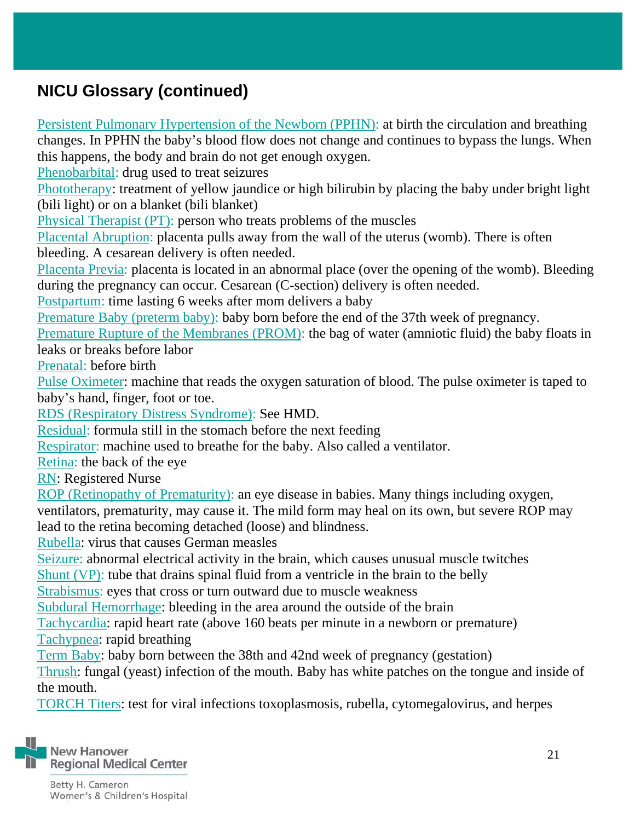Persistent Pulmonary Hypertension of the Newborn (PPHN): at birth the circulation and breathing changes. In PPHN the baby's blood flow does not change and continues to bypass the lungs. When this happens, the body and brain do not get enough oxygen. Phenobarbital: drug used to treat seizures Phototherapy: treatment of yellow jaundice or high bilirubin by placing the baby under bright light (bili light) or on a blanket (bili blanket) Physical Therapist (PT): person who treats problems of the muscles Placental Abruption: placenta pulls away from the wall of the uterus (womb). There is often bleeding. A cesarean delivery is often needed. Placenta Previa: placenta is located in an abnormal place (over the opening of the womb). Bleeding during the pregnancy can occur. Cesarean (C-section) delivery is often needed. Postpartum: time lasting 6 weeks after mom delivers a baby Premature Baby (preterm baby): baby born before the end of the 37th week of pregnancy. Premature Rupture of the Membranes (PROM): the bag of water (amniotic fluid) the baby floats in leaks or breaks before labor Prenatal: before birth Pulse Oximeter: machine that reads the oxygen saturation of blood. The pulse oximeter is taped to baby's hand, finger, foot or toe. RDS (Respiratory Distress Syndrome): See HMD. Residual: formula still in the stomach before the next feeding Respirator: machine used to breathe for the baby. Also called a ventilator. Retina: the back of the eye RN: Registered Nurse ROP (Retinopathy of Prematurity): an eye disease in babies. Many things including oxygen, ventilators, prematurity, may cause it. The mild form may heal on its own, but severe ROP may lead to the retina becoming detached (loose) and blindness. Rubella: virus that causes German measles Seizure: abnormal electrical activity in the brain, which causes unusual muscle twitches Shunt (VP): tube that drains spinal fluid from a ventricle in the brain to the belly Strabismus: eyes that cross or turn outward due to muscle weakness Subdural Hemorrhage: bleeding in the area around the outside of the brain

Tachycardia: rapid heart rate (above 160 beats per minute in a newborn or premature) Tachypnea: rapid breathing

Term Baby: baby born between the 38th and 42nd week of pregnancy (gestation)

Thrush: fungal (yeast) infection of the mouth. Baby has white patches on the tongue and inside of the mouth.

TORCH Titers: test for viral infections toxoplasmosis, rubella, cytomegalovirus, and herpes

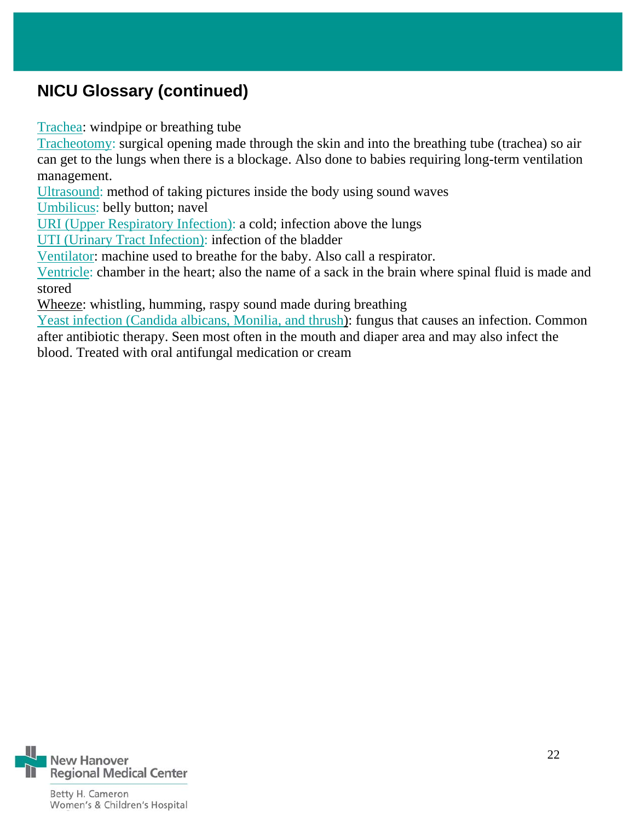Trachea: windpipe or breathing tube

Tracheotomy: surgical opening made through the skin and into the breathing tube (trachea) so air can get to the lungs when there is a blockage. Also done to babies requiring long-term ventilation management.

Ultrasound: method of taking pictures inside the body using sound waves

Umbilicus: belly button; navel

URI (Upper Respiratory Infection): a cold; infection above the lungs

UTI (Urinary Tract Infection): infection of the bladder

Ventilator: machine used to breathe for the baby. Also call a respirator.

Ventricle: chamber in the heart; also the name of a sack in the brain where spinal fluid is made and stored

Wheeze: whistling, humming, raspy sound made during breathing

Yeast infection (Candida albicans, Monilia, and thrush): fungus that causes an infection. Common after antibiotic therapy. Seen most often in the mouth and diaper area and may also infect the blood. Treated with oral antifungal medication or cream